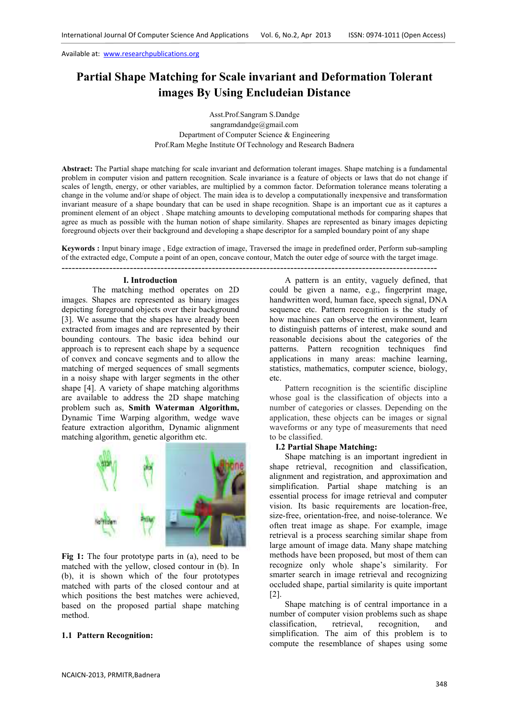# **Partial Shape Matching for Scale invariant and Deformation Tolerant images By Using Encludeian Distance**

Asst.Prof.Sangram S.Dandge sangramdandge@gmail.com Department of Computer Science & Engineering Prof.Ram Meghe Institute Of Technology and Research Badnera

**Abstract:** The Partial shape matching for scale invariant and deformation tolerant images. Shape matching is a fundamental problem in computer vision and pattern recognition. Scale invariance is a feature of objects or laws that do not change if scales of length, energy, or other variables, are multiplied by a common factor. Deformation tolerance means tolerating a change in the volume and/or shape of object. The main idea is to develop a computationally inexpensive and transformation invariant measure of a shape boundary that can be used in shape recognition. Shape is an important cue as it captures a prominent element of an object . Shape matching amounts to developing computational methods for comparing shapes that agree as much as possible with the human notion of shape similarity. Shapes are represented as binary images depicting foreground objects over their background and developing a shape descriptor for a sampled boundary point of any shape

**Keywords :** Input binary image , Edge extraction of image, Traversed the image in predefined order, Perform sub-sampling of the extracted edge, Compute a point of an open, concave contour, Match the outer edge of source with the target image. --------------------------------------------------------------------------------------------------------------

### **I. Introduction**

The matching method operates on 2D images. Shapes are represented as binary images depicting foreground objects over their background [3]. We assume that the shapes have already been extracted from images and are represented by their bounding contours. The basic idea behind our approach is to represent each shape by a sequence of convex and concave segments and to allow the matching of merged sequences of small segments in a noisy shape with larger segments in the other shape [4]. A variety of shape matching algorithms are available to address the 2D shape matching problem such as, **Smith Waterman Algorithm,**  Dynamic Time Warping algorithm, wedge wave feature extraction algorithm, Dynamic alignment matching algorithm, genetic algorithm etc.



**Fig 1:** The four prototype parts in (a), need to be matched with the yellow, closed contour in (b). In (b), it is shown which of the four prototypes matched with parts of the closed contour and at which positions the best matches were achieved, based on the proposed partial shape matching method.

### **1.1 Pattern Recognition:**

A pattern is an entity, vaguely defined, that could be given a name, e.g., fingerprint mage, handwritten word, human face, speech signal, DNA sequence etc. Pattern recognition is the study of how machines can observe the environment, learn to distinguish patterns of interest, make sound and reasonable decisions about the categories of the patterns. Pattern recognition techniques find applications in many areas: machine learning, statistics, mathematics, computer science, biology, etc.

Pattern recognition is the scientific discipline whose goal is the classification of objects into a number of categories or classes. Depending on the application, these objects can be images or signal waveforms or any type of measurements that need to be classified.

### **I.2 Partial Shape Matching:**

Shape matching is an important ingredient in shape retrieval, recognition and classification, alignment and registration, and approximation and simplification. Partial shape matching is an essential process for image retrieval and computer vision. Its basic requirements are location-free, size-free, orientation-free, and noise-tolerance. We often treat image as shape. For example, image retrieval is a process searching similar shape from large amount of image data. Many shape matching methods have been proposed, but most of them can recognize only whole shape's similarity. For smarter search in image retrieval and recognizing occluded shape, partial similarity is quite important [2].

Shape matching is of central importance in a number of computer vision problems such as shape classification, retrieval, recognition, and simplification. The aim of this problem is to compute the resemblance of shapes using some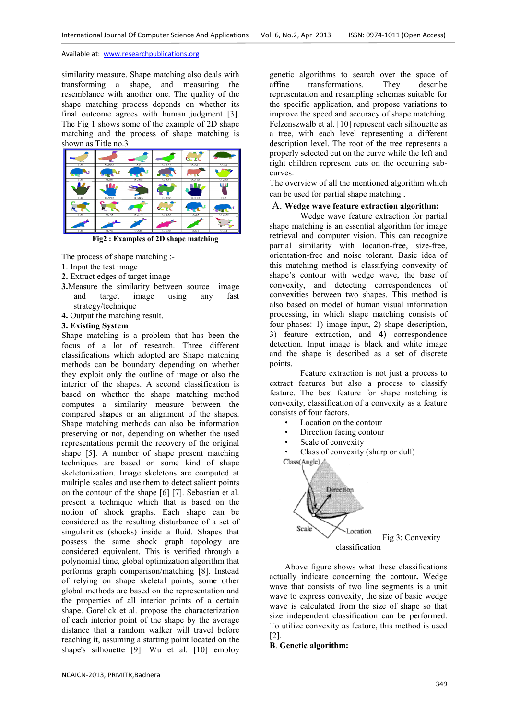similarity measure. Shape matching also deals with transforming a shape, and measuring the resemblance with another one. The quality of the shape matching process depends on whether its final outcome agrees with human judgment [3]. The Fig 1 shows some of the example of 2D shape matching and the process of shape matching is shown as Title no.3



**Fig2 : Examples of 2D shape matching** 

The process of shape matching :-

- **1**. Input the test image
- **2.** Extract edges of target image
- **3.**Measure the similarity between source image and target image using any fast strategy/technique
- **4.** Output the matching result.

### **3. Existing System**

Shape matching is a problem that has been the focus of a lot of research. Three different classifications which adopted are Shape matching methods can be boundary depending on whether they exploit only the outline of image or also the interior of the shapes. A second classification is based on whether the shape matching method computes a similarity measure between the compared shapes or an alignment of the shapes. Shape matching methods can also be information preserving or not, depending on whether the used representations permit the recovery of the original shape [5]. A number of shape present matching techniques are based on some kind of shape skeletonization. Image skeletons are computed at multiple scales and use them to detect salient points on the contour of the shape [6] [7]. Sebastian et al. present a technique which that is based on the notion of shock graphs. Each shape can be considered as the resulting disturbance of a set of singularities (shocks) inside a fluid. Shapes that possess the same shock graph topology are considered equivalent. This is verified through a polynomial time, global optimization algorithm that performs graph comparison/matching [8]. Instead of relying on shape skeletal points, some other global methods are based on the representation and the properties of all interior points of a certain shape. Gorelick et al. propose the characterization of each interior point of the shape by the average distance that a random walker will travel before reaching it, assuming a starting point located on the shape's silhouette [9]. Wu et al. [10] employ genetic algorithms to search over the space of affine transformations. They describe representation and resampling schemas suitable for the specific application, and propose variations to improve the speed and accuracy of shape matching. Felzenszwalb et al. [10] represent each silhouette as a tree, with each level representing a different description level. The root of the tree represents a properly selected cut on the curve while the left and right children represent cuts on the occurring subcurves.

The overview of all the mentioned algorithm which can be used for partial shape matching .

### A. **Wedge wave feature extraction algorithm:**

Wedge wave feature extraction for partial shape matching is an essential algorithm for image retrieval and computer vision. This can recognize partial similarity with location-free, size-free, orientation-free and noise tolerant. Basic idea of this matching method is classifying convexity of shape's contour with wedge wave, the base of convexity, and detecting correspondences of convexities between two shapes. This method is also based on model of human visual information processing, in which shape matching consists of four phases: 1) image input, 2) shape description, 3) feature extraction, and 4) correspondence detection. Input image is black and white image and the shape is described as a set of discrete points.

Feature extraction is not just a process to extract features but also a process to classify feature. The best feature for shape matching is convexity, classification of a convexity as a feature consists of four factors.

- Location on the contour
- Direction facing contour
- Scale of convexity
- Class of convexity (sharp or dull)



Above figure shows what these classifications actually indicate concerning the contour**.** Wedge wave that consists of two line segments is a unit wave to express convexity, the size of basic wedge wave is calculated from the size of shape so that size independent classification can be performed. To utilize convexity as feature, this method is used [2].

### **B**. **Genetic algorithm:**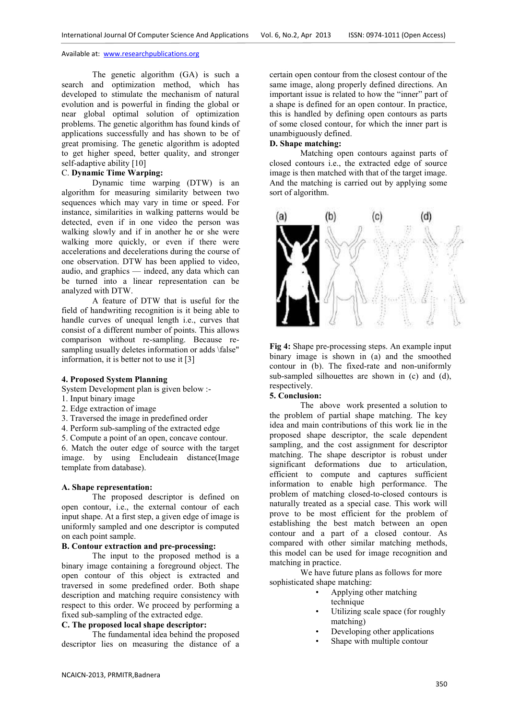The genetic algorithm (GA) is such a search and optimization method, which has developed to stimulate the mechanism of natural evolution and is powerful in finding the global or near global optimal solution of optimization problems. The genetic algorithm has found kinds of applications successfully and has shown to be of great promising. The genetic algorithm is adopted to get higher speed, better quality, and stronger self-adaptive ability [10]

## C. **Dynamic Time Warping:**

Dynamic time warping (DTW) is an algorithm for measuring similarity between two sequences which may vary in time or speed. For instance, similarities in walking patterns would be detected, even if in one video the person was walking slowly and if in another he or she were walking more quickly, or even if there were accelerations and decelerations during the course of one observation. DTW has been applied to video, audio, and graphics — indeed, any data which can be turned into a linear representation can be analyzed with DTW.

A feature of DTW that is useful for the field of handwriting recognition is it being able to handle curves of unequal length i.e., curves that consist of a different number of points. This allows comparison without re-sampling. Because resampling usually deletes information or adds \false" information, it is better not to use it [3]

### **4. Proposed System Planning**

System Development plan is given below :-

- 1. Input binary image
- 2. Edge extraction of image
- 3. Traversed the image in predefined order
- 4. Perform sub-sampling of the extracted edge

5. Compute a point of an open, concave contour.

6. Match the outer edge of source with the target image. by using Encludeain distance(Image template from database).

### **A. Shape representation:**

The proposed descriptor is defined on open contour, i.e., the external contour of each input shape. At a first step, a given edge of image is uniformly sampled and one descriptor is computed on each point sample.

## **B. Contour extraction and pre-processing:**

The input to the proposed method is a binary image containing a foreground object. The open contour of this object is extracted and traversed in some predefined order. Both shape description and matching require consistency with respect to this order. We proceed by performing a fixed sub-sampling of the extracted edge.

### **C. The proposed local shape descriptor:**

The fundamental idea behind the proposed descriptor lies on measuring the distance of a

certain open contour from the closest contour of the same image, along properly defined directions. An important issue is related to how the "inner" part of a shape is defined for an open contour. In practice, this is handled by defining open contours as parts of some closed contour, for which the inner part is unambiguously defined.

## **D. Shape matching:**

Matching open contours against parts of closed contours i.e., the extracted edge of source image is then matched with that of the target image. And the matching is carried out by applying some sort of algorithm.



**Fig 4:** Shape pre-processing steps. An example input binary image is shown in (a) and the smoothed contour in (b). The fixed-rate and non-uniformly sub-sampled silhouettes are shown in (c) and (d), respectively.

### **5. Conclusion:**

The above work presented a solution to the problem of partial shape matching. The key idea and main contributions of this work lie in the proposed shape descriptor, the scale dependent sampling, and the cost assignment for descriptor matching. The shape descriptor is robust under significant deformations due to articulation, efficient to compute and captures sufficient information to enable high performance. The problem of matching closed-to-closed contours is naturally treated as a special case. This work will prove to be most efficient for the problem of establishing the best match between an open contour and a part of a closed contour. As compared with other similar matching methods, this model can be used for image recognition and matching in practice.

We have future plans as follows for more sophisticated shape matching:

- Applying other matching technique
- Utilizing scale space (for roughly matching)
- Developing other applications
- Shape with multiple contour